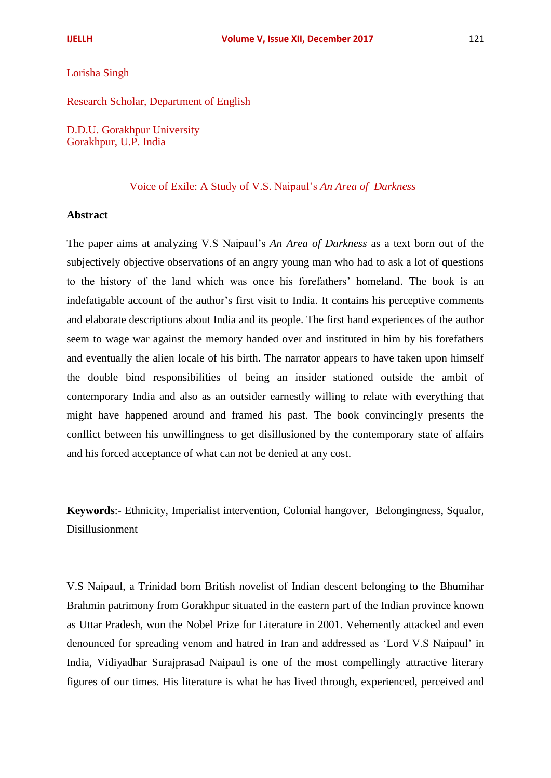## Lorisha Singh

Research Scholar, Department of English

D.D.U. Gorakhpur University Gorakhpur, U.P. India

## Voice of Exile: A Study of V.S. Naipaul's *An Area of Darkness*

## **Abstract**

The paper aims at analyzing V.S Naipaul's *An Area of Darkness* as a text born out of the subjectively objective observations of an angry young man who had to ask a lot of questions to the history of the land which was once his forefathers' homeland. The book is an indefatigable account of the author's first visit to India. It contains his perceptive comments and elaborate descriptions about India and its people. The first hand experiences of the author seem to wage war against the memory handed over and instituted in him by his forefathers and eventually the alien locale of his birth. The narrator appears to have taken upon himself the double bind responsibilities of being an insider stationed outside the ambit of contemporary India and also as an outsider earnestly willing to relate with everything that might have happened around and framed his past. The book convincingly presents the conflict between his unwillingness to get disillusioned by the contemporary state of affairs and his forced acceptance of what can not be denied at any cost.

**Keywords**:- Ethnicity, Imperialist intervention, Colonial hangover, Belongingness, Squalor, Disillusionment

V.S Naipaul, a Trinidad born British novelist of Indian descent belonging to the Bhumihar Brahmin patrimony from Gorakhpur situated in the eastern part of the Indian province known as Uttar Pradesh, won the Nobel Prize for Literature in 2001. Vehemently attacked and even denounced for spreading venom and hatred in Iran and addressed as 'Lord V.S Naipaul' in India, Vidiyadhar Surajprasad Naipaul is one of the most compellingly attractive literary figures of our times. His literature is what he has lived through, experienced, perceived and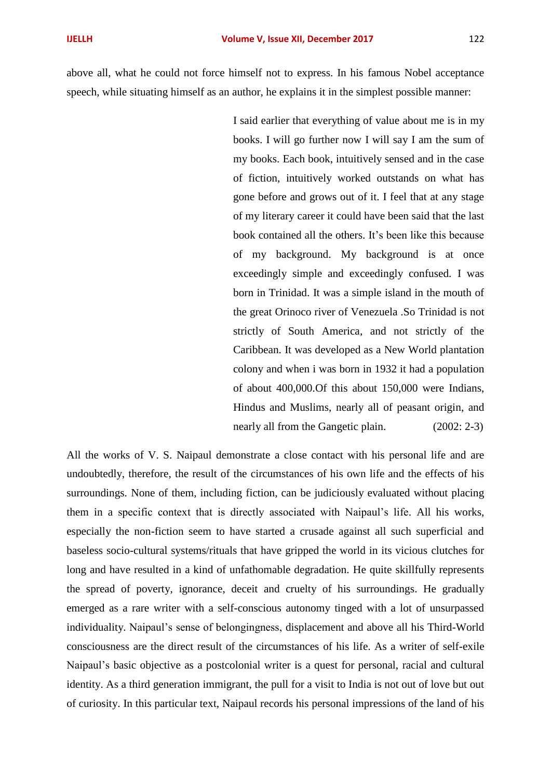above all, what he could not force himself not to express. In his famous Nobel acceptance speech, while situating himself as an author, he explains it in the simplest possible manner:

> I said earlier that everything of value about me is in my books. I will go further now I will say I am the sum of my books. Each book, intuitively sensed and in the case of fiction, intuitively worked outstands on what has gone before and grows out of it. I feel that at any stage of my literary career it could have been said that the last book contained all the others. It's been like this because of my background. My background is at once exceedingly simple and exceedingly confused. I was born in Trinidad. It was a simple island in the mouth of the great Orinoco river of Venezuela .So Trinidad is not strictly of South America, and not strictly of the Caribbean. It was developed as a New World plantation colony and when i was born in 1932 it had a population of about 400,000.Of this about 150,000 were Indians, Hindus and Muslims, nearly all of peasant origin, and nearly all from the Gangetic plain. (2002: 2-3)

All the works of V. S. Naipaul demonstrate a close contact with his personal life and are undoubtedly, therefore, the result of the circumstances of his own life and the effects of his surroundings. None of them, including fiction, can be judiciously evaluated without placing them in a specific context that is directly associated with Naipaul's life. All his works, especially the non-fiction seem to have started a crusade against all such superficial and baseless socio-cultural systems/rituals that have gripped the world in its vicious clutches for long and have resulted in a kind of unfathomable degradation. He quite skillfully represents the spread of poverty, ignorance, deceit and cruelty of his surroundings. He gradually emerged as a rare writer with a self-conscious autonomy tinged with a lot of unsurpassed individuality. Naipaul's sense of belongingness, displacement and above all his Third-World consciousness are the direct result of the circumstances of his life. As a writer of self-exile Naipaul's basic objective as a postcolonial writer is a quest for personal, racial and cultural identity. As a third generation immigrant, the pull for a visit to India is not out of love but out of curiosity. In this particular text, Naipaul records his personal impressions of the land of his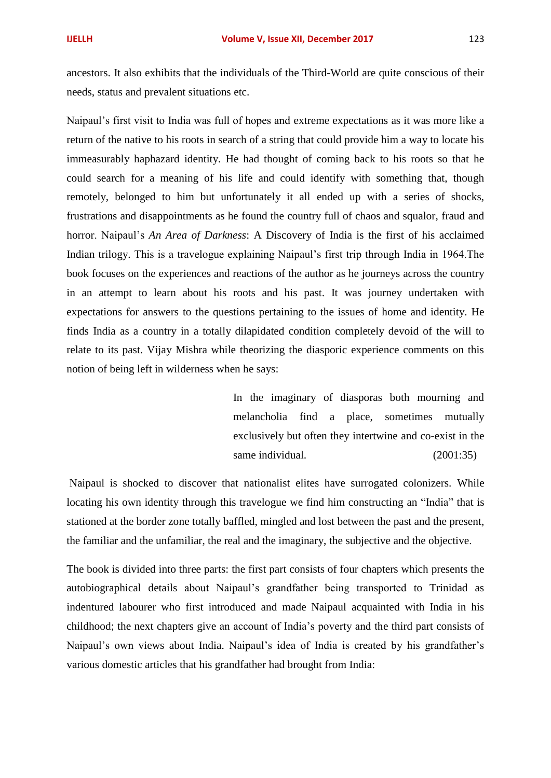ancestors. It also exhibits that the individuals of the Third-World are quite conscious of their needs, status and prevalent situations etc.

Naipaul's first visit to India was full of hopes and extreme expectations as it was more like a return of the native to his roots in search of a string that could provide him a way to locate his immeasurably haphazard identity. He had thought of coming back to his roots so that he could search for a meaning of his life and could identify with something that, though remotely, belonged to him but unfortunately it all ended up with a series of shocks, frustrations and disappointments as he found the country full of chaos and squalor, fraud and horror. Naipaul's *An Area of Darkness*: A Discovery of India is the first of his acclaimed Indian trilogy. This is a travelogue explaining Naipaul's first trip through India in 1964.The book focuses on the experiences and reactions of the author as he journeys across the country in an attempt to learn about his roots and his past. It was journey undertaken with expectations for answers to the questions pertaining to the issues of home and identity. He finds India as a country in a totally dilapidated condition completely devoid of the will to relate to its past. Vijay Mishra while theorizing the diasporic experience comments on this notion of being left in wilderness when he says:

> In the imaginary of diasporas both mourning and melancholia find a place, sometimes mutually exclusively but often they intertwine and co-exist in the same individual. (2001:35)

Naipaul is shocked to discover that nationalist elites have surrogated colonizers. While locating his own identity through this travelogue we find him constructing an "India" that is stationed at the border zone totally baffled, mingled and lost between the past and the present, the familiar and the unfamiliar, the real and the imaginary, the subjective and the objective.

The book is divided into three parts: the first part consists of four chapters which presents the autobiographical details about Naipaul's grandfather being transported to Trinidad as indentured labourer who first introduced and made Naipaul acquainted with India in his childhood; the next chapters give an account of India's poverty and the third part consists of Naipaul's own views about India. Naipaul's idea of India is created by his grandfather's various domestic articles that his grandfather had brought from India: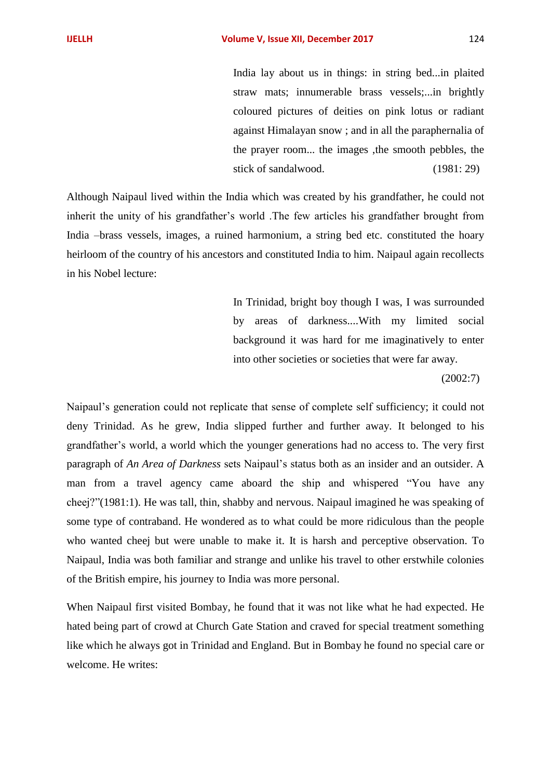India lay about us in things: in string bed...in plaited straw mats; innumerable brass vessels;...in brightly coloured pictures of deities on pink lotus or radiant against Himalayan snow ; and in all the paraphernalia of the prayer room... the images ,the smooth pebbles, the stick of sandalwood. (1981: 29)

Although Naipaul lived within the India which was created by his grandfather, he could not inherit the unity of his grandfather's world .The few articles his grandfather brought from India –brass vessels, images, a ruined harmonium, a string bed etc. constituted the hoary heirloom of the country of his ancestors and constituted India to him. Naipaul again recollects in his Nobel lecture:

> In Trinidad, bright boy though I was, I was surrounded by areas of darkness....With my limited social background it was hard for me imaginatively to enter into other societies or societies that were far away.

> > (2002:7)

Naipaul's generation could not replicate that sense of complete self sufficiency; it could not deny Trinidad. As he grew, India slipped further and further away. It belonged to his grandfather's world, a world which the younger generations had no access to. The very first paragraph of *An Area of Darkness* sets Naipaul's status both as an insider and an outsider. A man from a travel agency came aboard the ship and whispered "You have any cheej?"(1981:1). He was tall, thin, shabby and nervous. Naipaul imagined he was speaking of some type of contraband. He wondered as to what could be more ridiculous than the people who wanted cheej but were unable to make it. It is harsh and perceptive observation. To Naipaul, India was both familiar and strange and unlike his travel to other erstwhile colonies of the British empire, his journey to India was more personal.

When Naipaul first visited Bombay, he found that it was not like what he had expected. He hated being part of crowd at Church Gate Station and craved for special treatment something like which he always got in Trinidad and England. But in Bombay he found no special care or welcome. He writes: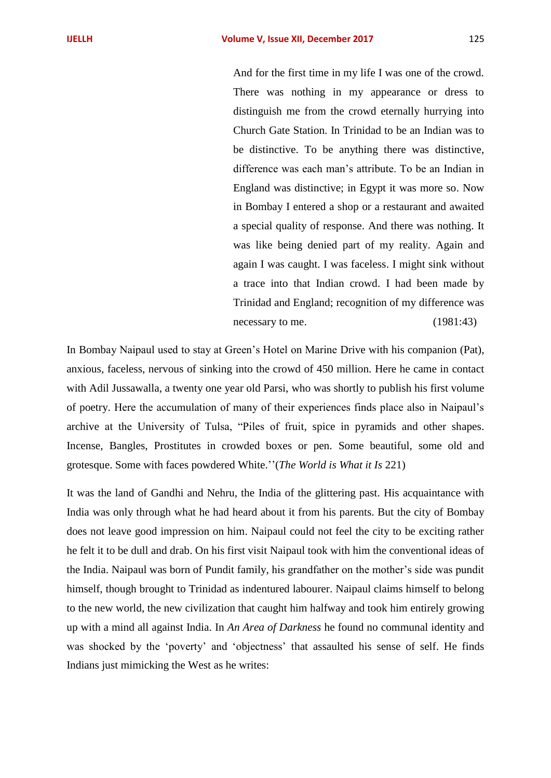And for the first time in my life I was one of the crowd. There was nothing in my appearance or dress to distinguish me from the crowd eternally hurrying into Church Gate Station. In Trinidad to be an Indian was to be distinctive. To be anything there was distinctive, difference was each man's attribute. To be an Indian in England was distinctive; in Egypt it was more so. Now in Bombay I entered a shop or a restaurant and awaited a special quality of response. And there was nothing. It was like being denied part of my reality. Again and again I was caught. I was faceless. I might sink without a trace into that Indian crowd. I had been made by Trinidad and England; recognition of my difference was necessary to me. (1981:43)

In Bombay Naipaul used to stay at Green's Hotel on Marine Drive with his companion (Pat), anxious, faceless, nervous of sinking into the crowd of 450 million. Here he came in contact with Adil Jussawalla, a twenty one year old Parsi, who was shortly to publish his first volume of poetry. Here the accumulation of many of their experiences finds place also in Naipaul's archive at the University of Tulsa, "Piles of fruit, spice in pyramids and other shapes. Incense, Bangles, Prostitutes in crowded boxes or pen. Some beautiful, some old and grotesque. Some with faces powdered White.''(*The World is What it Is* 221)

It was the land of Gandhi and Nehru, the India of the glittering past. His acquaintance with India was only through what he had heard about it from his parents. But the city of Bombay does not leave good impression on him. Naipaul could not feel the city to be exciting rather he felt it to be dull and drab. On his first visit Naipaul took with him the conventional ideas of the India. Naipaul was born of Pundit family, his grandfather on the mother's side was pundit himself, though brought to Trinidad as indentured labourer. Naipaul claims himself to belong to the new world, the new civilization that caught him halfway and took him entirely growing up with a mind all against India. In *An Area of Darkness* he found no communal identity and was shocked by the 'poverty' and 'objectness' that assaulted his sense of self. He finds Indians just mimicking the West as he writes: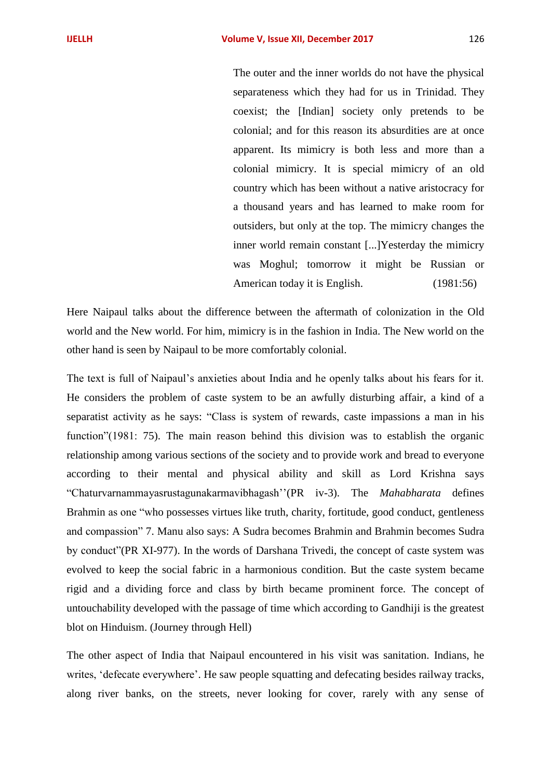The outer and the inner worlds do not have the physical separateness which they had for us in Trinidad. They coexist; the [Indian] society only pretends to be colonial; and for this reason its absurdities are at once apparent. Its mimicry is both less and more than a colonial mimicry. It is special mimicry of an old country which has been without a native aristocracy for a thousand years and has learned to make room for outsiders, but only at the top. The mimicry changes the inner world remain constant [...]Yesterday the mimicry was Moghul; tomorrow it might be Russian or American today it is English. (1981:56)

Here Naipaul talks about the difference between the aftermath of colonization in the Old world and the New world. For him, mimicry is in the fashion in India. The New world on the other hand is seen by Naipaul to be more comfortably colonial.

The text is full of Naipaul's anxieties about India and he openly talks about his fears for it. He considers the problem of caste system to be an awfully disturbing affair, a kind of a separatist activity as he says: "Class is system of rewards, caste impassions a man in his function"(1981: 75). The main reason behind this division was to establish the organic relationship among various sections of the society and to provide work and bread to everyone according to their mental and physical ability and skill as Lord Krishna says "Chaturvarnammayasrustagunakarmavibhagash''(PR iv-3). The *Mahabharata* defines Brahmin as one "who possesses virtues like truth, charity, fortitude, good conduct, gentleness and compassion" 7. Manu also says: A Sudra becomes Brahmin and Brahmin becomes Sudra by conduct"(PR XI-977). In the words of Darshana Trivedi, the concept of caste system was evolved to keep the social fabric in a harmonious condition. But the caste system became rigid and a dividing force and class by birth became prominent force. The concept of untouchability developed with the passage of time which according to Gandhiji is the greatest blot on Hinduism. (Journey through Hell)

The other aspect of India that Naipaul encountered in his visit was sanitation. Indians, he writes, 'defecate everywhere'. He saw people squatting and defecating besides railway tracks, along river banks, on the streets, never looking for cover, rarely with any sense of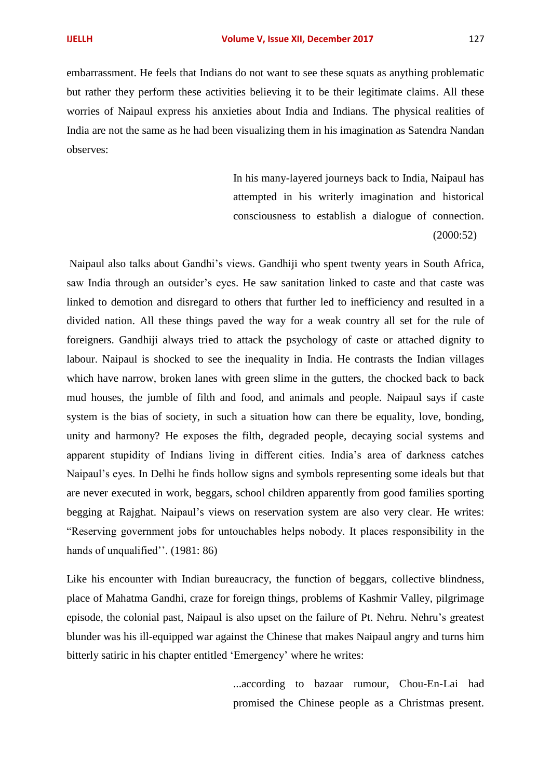embarrassment. He feels that Indians do not want to see these squats as anything problematic but rather they perform these activities believing it to be their legitimate claims. All these worries of Naipaul express his anxieties about India and Indians. The physical realities of India are not the same as he had been visualizing them in his imagination as Satendra Nandan observes:

> In his many-layered journeys back to India, Naipaul has attempted in his writerly imagination and historical consciousness to establish a dialogue of connection. (2000:52)

Naipaul also talks about Gandhi's views. Gandhiji who spent twenty years in South Africa, saw India through an outsider's eyes. He saw sanitation linked to caste and that caste was linked to demotion and disregard to others that further led to inefficiency and resulted in a divided nation. All these things paved the way for a weak country all set for the rule of foreigners. Gandhiji always tried to attack the psychology of caste or attached dignity to labour. Naipaul is shocked to see the inequality in India. He contrasts the Indian villages which have narrow, broken lanes with green slime in the gutters, the chocked back to back mud houses, the jumble of filth and food, and animals and people. Naipaul says if caste system is the bias of society, in such a situation how can there be equality, love, bonding, unity and harmony? He exposes the filth, degraded people, decaying social systems and apparent stupidity of Indians living in different cities. India's area of darkness catches Naipaul's eyes. In Delhi he finds hollow signs and symbols representing some ideals but that are never executed in work, beggars, school children apparently from good families sporting begging at Rajghat. Naipaul's views on reservation system are also very clear. He writes: "Reserving government jobs for untouchables helps nobody. It places responsibility in the hands of unqualified". (1981: 86)

Like his encounter with Indian bureaucracy, the function of beggars, collective blindness, place of Mahatma Gandhi, craze for foreign things, problems of Kashmir Valley, pilgrimage episode, the colonial past, Naipaul is also upset on the failure of Pt. Nehru. Nehru's greatest blunder was his ill-equipped war against the Chinese that makes Naipaul angry and turns him bitterly satiric in his chapter entitled 'Emergency' where he writes:

> ...according to bazaar rumour, Chou-En-Lai had promised the Chinese people as a Christmas present.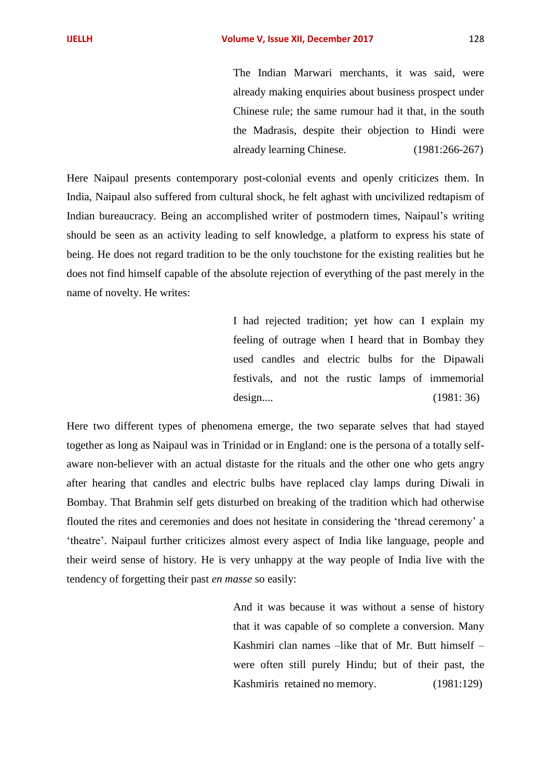The Indian Marwari merchants, it was said, were already making enquiries about business prospect under Chinese rule; the same rumour had it that, in the south the Madrasis, despite their objection to Hindi were already learning Chinese. (1981:266-267)

Here Naipaul presents contemporary post-colonial events and openly criticizes them. In India, Naipaul also suffered from cultural shock, he felt aghast with uncivilized redtapism of Indian bureaucracy. Being an accomplished writer of postmodern times, Naipaul's writing should be seen as an activity leading to self knowledge, a platform to express his state of being. He does not regard tradition to be the only touchstone for the existing realities but he does not find himself capable of the absolute rejection of everything of the past merely in the name of novelty. He writes:

> I had rejected tradition; yet how can I explain my feeling of outrage when I heard that in Bombay they used candles and electric bulbs for the Dipawali festivals, and not the rustic lamps of immemorial design.... (1981: 36)

Here two different types of phenomena emerge, the two separate selves that had stayed together as long as Naipaul was in Trinidad or in England: one is the persona of a totally selfaware non-believer with an actual distaste for the rituals and the other one who gets angry after hearing that candles and electric bulbs have replaced clay lamps during Diwali in Bombay. That Brahmin self gets disturbed on breaking of the tradition which had otherwise flouted the rites and ceremonies and does not hesitate in considering the 'thread ceremony' a 'theatre'. Naipaul further criticizes almost every aspect of India like language, people and their weird sense of history. He is very unhappy at the way people of India live with the tendency of forgetting their past *en masse* so easily:

> And it was because it was without a sense of history that it was capable of so complete a conversion. Many Kashmiri clan names –like that of Mr. Butt himself – were often still purely Hindu; but of their past, the Kashmiris retained no memory. (1981:129)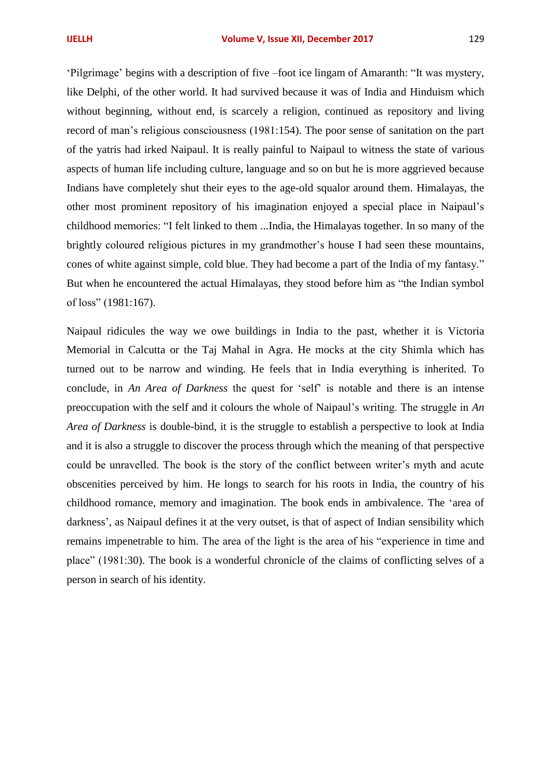'Pilgrimage' begins with a description of five –foot ice lingam of Amaranth: "It was mystery, like Delphi, of the other world. It had survived because it was of India and Hinduism which without beginning, without end, is scarcely a religion, continued as repository and living record of man's religious consciousness (1981:154). The poor sense of sanitation on the part of the yatris had irked Naipaul. It is really painful to Naipaul to witness the state of various aspects of human life including culture, language and so on but he is more aggrieved because Indians have completely shut their eyes to the age-old squalor around them. Himalayas, the other most prominent repository of his imagination enjoyed a special place in Naipaul's childhood memories: "I felt linked to them ...India, the Himalayas together. In so many of the brightly coloured religious pictures in my grandmother's house I had seen these mountains, cones of white against simple, cold blue. They had become a part of the India of my fantasy." But when he encountered the actual Himalayas, they stood before him as "the Indian symbol of loss" (1981:167).

Naipaul ridicules the way we owe buildings in India to the past, whether it is Victoria Memorial in Calcutta or the Taj Mahal in Agra. He mocks at the city Shimla which has turned out to be narrow and winding. He feels that in India everything is inherited. To conclude, in *An Area of Darkness* the quest for 'self' is notable and there is an intense preoccupation with the self and it colours the whole of Naipaul's writing. The struggle in *An Area of Darkness* is double-bind, it is the struggle to establish a perspective to look at India and it is also a struggle to discover the process through which the meaning of that perspective could be unravelled. The book is the story of the conflict between writer's myth and acute obscenities perceived by him. He longs to search for his roots in India, the country of his childhood romance, memory and imagination. The book ends in ambivalence. The 'area of darkness', as Naipaul defines it at the very outset, is that of aspect of Indian sensibility which remains impenetrable to him. The area of the light is the area of his "experience in time and place" (1981:30). The book is a wonderful chronicle of the claims of conflicting selves of a person in search of his identity.